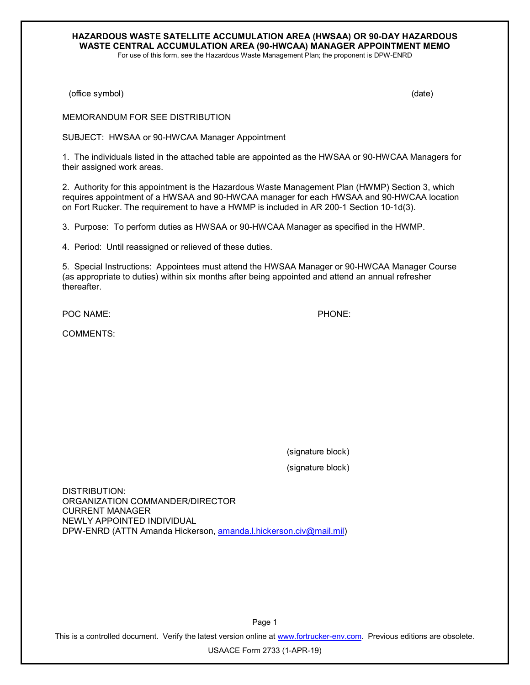## **HAZARDOUS WASTE SATELLITE ACCUMULATION AREA (HWSAA) OR 90-DAY HAZARDOUS WASTE CENTRAL ACCUMULATION AREA (90-HWCAA) MANAGER APPOINTMENT MEMO** For use of this form, see the Hazardous Waste Management Plan; the proponent is DPW-ENRD

(office symbol) (date)

MEMORANDUM FOR SEE DISTRIBUTION

SUBJECT: HWSAA or 90-HWCAA Manager Appointment

1. The individuals listed in the attached table are appointed as the HWSAA or 90-HWCAA Managers for their assigned work areas.

2. Authority for this appointment is the Hazardous Waste Management Plan (HWMP) Section 3, which requires appointment of a HWSAA and 90-HWCAA manager for each HWSAA and 90-HWCAA location on Fort Rucker. The requirement to have a HWMP is included in AR 200-1 Section 10-1d(3).

3. Purpose: To perform duties as HWSAA or 90-HWCAA Manager as specified in the HWMP.

4. Period: Until reassigned or relieved of these duties.

5. Special Instructions: Appointees must attend the HWSAA Manager or 90-HWCAA Manager Course (as appropriate to duties) within six months after being appointed and attend an annual refresher thereafter.

POC NAME: POC NAME:

COMMENTS:

(signature block) (signature block)

DISTRIBUTION: ORGANIZATION COMMANDER/DIRECTOR CURRENT MANAGER NEWLY APPOINTED INDIVIDUAL DPW-ENRD (ATTN Amanda Hickerson, [amanda.l.hickerson.civ@mail.mil\)](mailto:amanda.l.hickerson.civ@mail.mil)

Page 1 This is a controlled document. Verify the latest version online at [www.fortrucker-env.com.](http://www.fortrucker-env.com/) Previous editions are obsolete.

USAACE Form 2733 (1-APR-19)